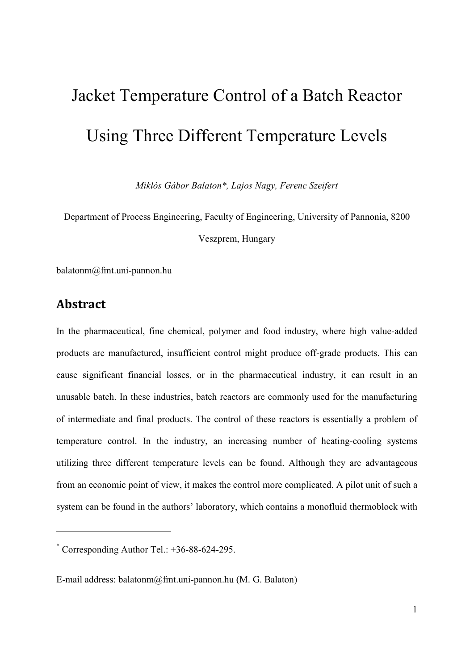## Jacket Temperature Control of a Batch Reactor Using Three Different Temperature Levels

*Miklós Gábor Balaton\*, Lajos Nagy, Ferenc Szeifert* 

Department of Process Engineering, Faculty of Engineering, University of Pannonia, 8200

Veszprem, Hungary

balatonm@fmt.uni-pannon.hu

## **Abstract**

-

In the pharmaceutical, fine chemical, polymer and food industry, where high value-added products are manufactured, insufficient control might produce off-grade products. This can cause significant financial losses, or in the pharmaceutical industry, it can result in an unusable batch. In these industries, batch reactors are commonly used for the manufacturing of intermediate and final products. The control of these reactors is essentially a problem of temperature control. In the industry, an increasing number of heating-cooling systems utilizing three different temperature levels can be found. Although they are advantageous from an economic point of view, it makes the control more complicated. A pilot unit of such a system can be found in the authors' laboratory, which contains a monofluid thermoblock with

<sup>\*</sup> Corresponding Author Tel.: +36-88-624-295.

E-mail address: balatonm@fmt.uni-pannon.hu (M. G. Balaton)